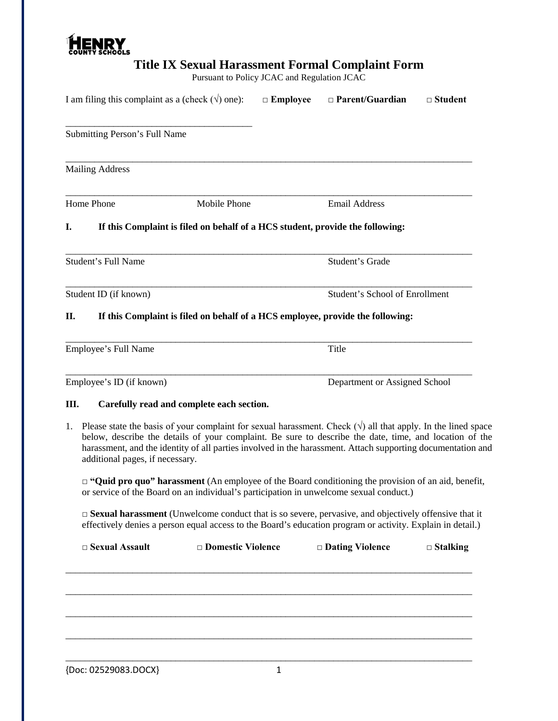

| <b>COUNTY SCHOOLS</b><br>Title IX Sexual Harassment Formal Complaint Form<br>Pursuant to Policy JCAC and Regulation JCAC |                                                                                                                                                                                                                                                                                                                                                                                  |                                           |                 |                                                                                                                                                                                                                           |                |  |  |
|--------------------------------------------------------------------------------------------------------------------------|----------------------------------------------------------------------------------------------------------------------------------------------------------------------------------------------------------------------------------------------------------------------------------------------------------------------------------------------------------------------------------|-------------------------------------------|-----------------|---------------------------------------------------------------------------------------------------------------------------------------------------------------------------------------------------------------------------|----------------|--|--|
|                                                                                                                          | I am filing this complaint as a (check $(\forall)$ one):                                                                                                                                                                                                                                                                                                                         |                                           | $\Box$ Employee | $\Box$ Parent/Guardian                                                                                                                                                                                                    | $\Box$ Student |  |  |
|                                                                                                                          | Submitting Person's Full Name                                                                                                                                                                                                                                                                                                                                                    |                                           |                 |                                                                                                                                                                                                                           |                |  |  |
|                                                                                                                          | <b>Mailing Address</b>                                                                                                                                                                                                                                                                                                                                                           |                                           |                 |                                                                                                                                                                                                                           |                |  |  |
|                                                                                                                          | Home Phone                                                                                                                                                                                                                                                                                                                                                                       | <b>Mobile Phone</b>                       |                 | <b>Email Address</b>                                                                                                                                                                                                      |                |  |  |
| I.                                                                                                                       |                                                                                                                                                                                                                                                                                                                                                                                  |                                           |                 | If this Complaint is filed on behalf of a HCS student, provide the following:                                                                                                                                             |                |  |  |
|                                                                                                                          | <b>Student's Full Name</b>                                                                                                                                                                                                                                                                                                                                                       |                                           |                 | Student's Grade                                                                                                                                                                                                           |                |  |  |
|                                                                                                                          | Student ID (if known)                                                                                                                                                                                                                                                                                                                                                            |                                           |                 | <b>Student's School of Enrollment</b>                                                                                                                                                                                     |                |  |  |
| П.                                                                                                                       |                                                                                                                                                                                                                                                                                                                                                                                  |                                           |                 | If this Complaint is filed on behalf of a HCS employee, provide the following:                                                                                                                                            |                |  |  |
|                                                                                                                          | Employee's Full Name                                                                                                                                                                                                                                                                                                                                                             |                                           |                 | Title                                                                                                                                                                                                                     |                |  |  |
|                                                                                                                          | Employee's ID (if known)                                                                                                                                                                                                                                                                                                                                                         |                                           |                 | Department or Assigned School                                                                                                                                                                                             |                |  |  |
| Ш.                                                                                                                       |                                                                                                                                                                                                                                                                                                                                                                                  | Carefully read and complete each section. |                 |                                                                                                                                                                                                                           |                |  |  |
| 1.                                                                                                                       | Please state the basis of your complaint for sexual harassment. Check $(\sqrt{})$ all that apply. In the lined space<br>below, describe the details of your complaint. Be sure to describe the date, time, and location of the<br>harassment, and the identity of all parties involved in the harassment. Attach supporting documentation and<br>additional pages, if necessary. |                                           |                 |                                                                                                                                                                                                                           |                |  |  |
|                                                                                                                          | $\Box$ "Quid pro quo" harassment (An employee of the Board conditioning the provision of an aid, benefit,<br>or service of the Board on an individual's participation in unwelcome sexual conduct.)                                                                                                                                                                              |                                           |                 |                                                                                                                                                                                                                           |                |  |  |
|                                                                                                                          |                                                                                                                                                                                                                                                                                                                                                                                  |                                           |                 | $\Box$ Sexual harassment (Unwelcome conduct that is so severe, pervasive, and objectively offensive that it<br>effectively denies a person equal access to the Board's education program or activity. Explain in detail.) |                |  |  |

| $\square$ Sexual Assault | □ Domestic Violence | $\Box$ Dating Violence | $\Box$ Stalking |
|--------------------------|---------------------|------------------------|-----------------|
|                          |                     |                        |                 |
|                          |                     |                        |                 |
|                          |                     |                        |                 |
|                          |                     |                        |                 |
|                          |                     |                        |                 |